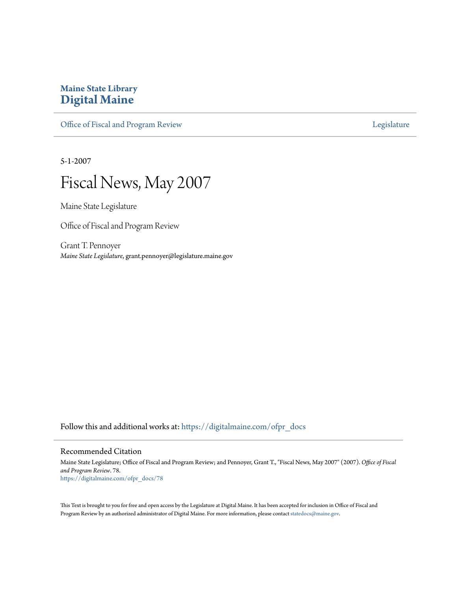# **Maine State Library [Digital Maine](https://digitalmaine.com?utm_source=digitalmaine.com%2Fofpr_docs%2F78&utm_medium=PDF&utm_campaign=PDFCoverPages)**

[Office of Fiscal and Program Review](https://digitalmaine.com/ofpr_docs?utm_source=digitalmaine.com%2Fofpr_docs%2F78&utm_medium=PDF&utm_campaign=PDFCoverPages) **[Legislature](https://digitalmaine.com/legis_docs?utm_source=digitalmaine.com%2Fofpr_docs%2F78&utm_medium=PDF&utm_campaign=PDFCoverPages)** Legislature

5-1-2007



Maine State Legislature

Office of Fiscal and Program Review

Grant T. Pennoyer *Maine State Legislature*, grant.pennoyer@legislature.maine.gov

Follow this and additional works at: [https://digitalmaine.com/ofpr\\_docs](https://digitalmaine.com/ofpr_docs?utm_source=digitalmaine.com%2Fofpr_docs%2F78&utm_medium=PDF&utm_campaign=PDFCoverPages)

#### Recommended Citation

Maine State Legislature; Office of Fiscal and Program Review; and Pennoyer, Grant T., "Fiscal News, May 2007" (2007). *Office of Fiscal and Program Review*. 78. [https://digitalmaine.com/ofpr\\_docs/78](https://digitalmaine.com/ofpr_docs/78?utm_source=digitalmaine.com%2Fofpr_docs%2F78&utm_medium=PDF&utm_campaign=PDFCoverPages)

This Text is brought to you for free and open access by the Legislature at Digital Maine. It has been accepted for inclusion in Office of Fiscal and Program Review by an authorized administrator of Digital Maine. For more information, please contact [statedocs@maine.gov](mailto:statedocs@maine.gov).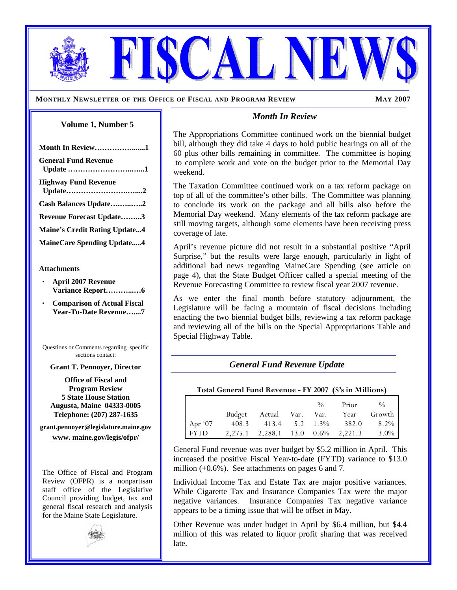**MONTHLY NEWSLETTER OF THE OFFICE OF FISCAL AND PROGRAM REVIEW MAY 2007** 

#### **Volume 1***,* **Number 5**

| Month In Review1                     |
|--------------------------------------|
| <b>General Fund Revenue</b>          |
| <b>Highway Fund Revenue</b>          |
| Cash Balances Update2                |
| <b>Revenue Forecast Update3</b>      |
| <b>Maine's Credit Rating Update4</b> |
| <b>MaineCare Spending Update4</b>    |

#### **Attachments**

- **April 2007 Revenue Variance Report………...…6**
- **Comparison of Actual Fiscal Year-To-Date Revenue…....7**

Questions or Comments regarding specific sections contact:

#### **Grant T. Pennoyer, Director**

**Office of Fiscal and Program Review 5 State House Station Augusta, Maine 04333-0005 Telephone: (207) 287-1635** 

**grant.pennoyer@legislature.maine.gov** 

**www. maine.gov/legis/ofpr/**

The Office of Fiscal and Program Review (OFPR) is a nonpartisan staff office of the Legislative Council providing budget, tax and general fiscal research and analysis for the Maine State Legislature.



#### *Month In Review*

CAL N

The Appropriations Committee continued work on the biennial budget bill, although they did take 4 days to hold public hearings on all of the 60 plus other bills remaining in committee. The committee is hoping to complete work and vote on the budget prior to the Memorial Day weekend.

The Taxation Committee continued work on a tax reform package on top of all of the committee's other bills. The Committee was planning to conclude its work on the package and all bills also before the Memorial Day weekend. Many elements of the tax reform package are still moving targets, although some elements have been receiving press coverage of late.

April's revenue picture did not result in a substantial positive "April Surprise," but the results were large enough, particularly in light of additional bad news regarding MaineCare Spending (see article on page 4), that the State Budget Officer called a special meeting of the Revenue Forecasting Committee to review fiscal year 2007 revenue.

As we enter the final month before statutory adjournment, the Legislature will be facing a mountain of fiscal decisions including enacting the two biennial budget bills, reviewing a tax reform package and reviewing all of the bills on the Special Appropriations Table and Special Highway Table.

## *General Fund Revenue Update*

#### **Total General Fund Revenue - FY 2007 (\$'s in Millions)**

|                                                           |  |  | $\%$ Prior $\%$                     |  |
|-----------------------------------------------------------|--|--|-------------------------------------|--|
|                                                           |  |  | Budget Actual Var. Var. Year Growth |  |
| Apr '07 408.3 413.4 5.2 1.3% 382.0 8.2%                   |  |  |                                     |  |
| FYTD $2,275.1$ $2,288.1$ $13.0$ $0.6\%$ $2,221.3$ $3.0\%$ |  |  |                                     |  |

General Fund revenue was over budget by \$5.2 million in April. This increased the positive Fiscal Year-to-date (FYTD) variance to \$13.0 million  $(+0.6\%)$ . See attachments on pages 6 and 7.

Individual Income Tax and Estate Tax are major positive variances.While Cigarette Tax and Insurance Companies Tax were the major negative variances. Insurance Companies Tax negative variance appears to be a timing issue that will be offset in May.

Other Revenue was under budget in April by \$6.4 million, but \$4.4 million of this was related to liquor profit sharing that was received late.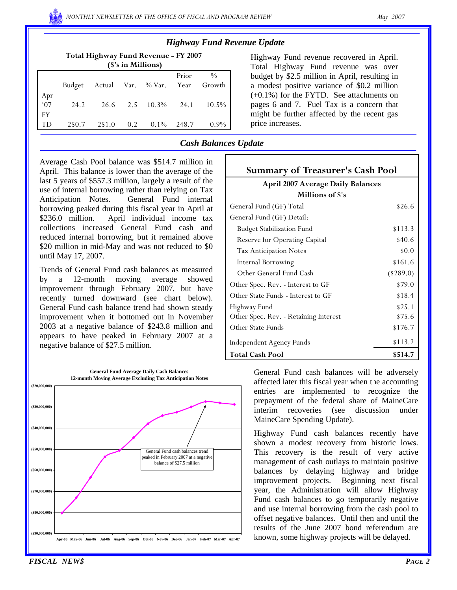| <b>Highway Fund Revenue Update</b> |  |  |
|------------------------------------|--|--|
|------------------------------------|--|--|

| Total Highway Fund Revenue - FY 2007 |
|--------------------------------------|
| $($'s in$ Millions)                  |

| $\sqrt{2}$ b in namnons |                                |  |  |                                       |       |         |  |  |  |
|-------------------------|--------------------------------|--|--|---------------------------------------|-------|---------|--|--|--|
|                         |                                |  |  | Budget Actual Var. % Var. Year Growth | Prior | $\%$    |  |  |  |
| Apr<br>$67$             |                                |  |  |                                       |       |         |  |  |  |
|                         | 24.2 26.6 2.5 10.3% 24.1 10.5% |  |  |                                       |       |         |  |  |  |
| FY                      |                                |  |  |                                       |       |         |  |  |  |
| l TD                    |                                |  |  | 250.7 251.0 0.2 0.1% 248.7            |       | $0.9\%$ |  |  |  |

Highway Fund revenue recovered in April. Total Highway Fund revenue was over budget by \$2.5 million in April, resulting in a modest positive variance of \$0.2 million (+0.1%) for the FYTD. See attachments on pages 6 and 7. Fuel Tax is a concern that might be further affected by the recent gas price increases.

### *Cash Balances Update*

Average Cash Pool balance was \$514.7 million in April. This balance is lower than the average of the last 5 years of \$557.3 million, largely a result of the use of internal borrowing rather than relying on Tax Anticipation Notes. General Fund internal borrowing peaked during this fiscal year in April at \$236.0 million. April individual income tax collections increased General Fund cash and reduced internal borrowing, but it remained above \$20 million in mid-May and was not reduced to \$0 until May 17, 2007.

Trends of General Fund cash balances as measured by a 12-month moving average showed improvement through February 2007, but have recently turned downward (see chart below). General Fund cash balance trend had shown steady improvement when it bottomed out in November 2003 at a negative balance of \$243.8 million and appears to have peaked in February 2007 at a negative balance of \$27.5 million.



| <b>Summary of Treasurer's Cash Pool</b>  |              |  |  |  |  |  |
|------------------------------------------|--------------|--|--|--|--|--|
| <b>April 2007 Average Daily Balances</b> |              |  |  |  |  |  |
| Millions of \$'s                         |              |  |  |  |  |  |
| General Fund (GF) Total                  | \$26.6       |  |  |  |  |  |
| General Fund (GF) Detail:                |              |  |  |  |  |  |
| <b>Budget Stabilization Fund</b>         | \$113.3      |  |  |  |  |  |
| Reserve for Operating Capital            | \$40.6       |  |  |  |  |  |
| <b>Tax Anticipation Notes</b>            | \$0.0        |  |  |  |  |  |
| <b>Internal Borrowing</b>                | \$161.6      |  |  |  |  |  |
| Other General Fund Cash                  | $($ \$289.0) |  |  |  |  |  |
| Other Spec. Rev. - Interest to GF        | \$79.0       |  |  |  |  |  |
| Other State Funds - Interest to GF       | \$18.4       |  |  |  |  |  |
| Highway Fund                             | \$25.1       |  |  |  |  |  |
| Other Spec. Rev. - Retaining Interest    | \$75.6       |  |  |  |  |  |
| Other State Funds                        | \$176.7      |  |  |  |  |  |
| <b>Independent Agency Funds</b>          | \$113.2      |  |  |  |  |  |
| Total Cash Pool                          | \$514.7      |  |  |  |  |  |

General Fund cash balances will be adversely affected later this fiscal year when the accounting entries are implemented to recognize the prepayment of the federal share of MaineCare interim recoveries (see discussion under MaineCare Spending Update).

Highway Fund cash balances recently have shown a modest recovery from historic lows. This recovery is the result of very active management of cash outlays to maintain positive balances by delaying highway and bridge improvement projects. Beginning next fiscal year, the Administration will allow Highway Fund cash balances to go temporarily negative and use internal borrowing from the cash pool to offset negative balances. Until then and until the results of the June 2007 bond referendum are known, some highway projects will be delayed.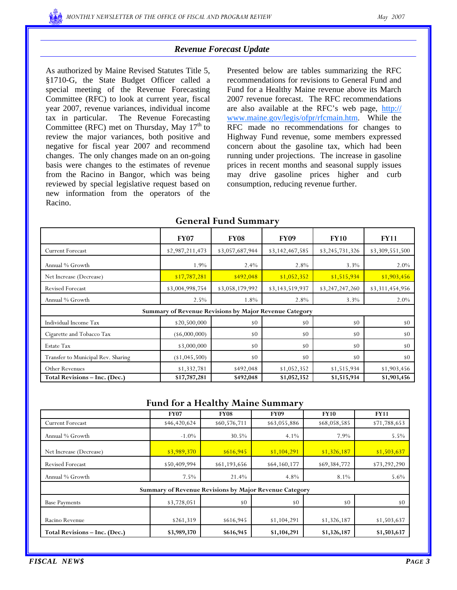## *Revenue Forecast Update*

As authorized by Maine Revised Statutes Title 5, §1710-G, the State Budget Officer called a special meeting of the Revenue Forecasting Committee (RFC) to look at current year, fiscal year 2007, revenue variances, individual income tax in particular. The Revenue Forecasting Committee (RFC) met on Thursday, May  $17<sup>th</sup>$  to review the major variances, both positive and negative for fiscal year 2007 and recommend changes. The only changes made on an on-going basis were changes to the estimates of revenue from the Racino in Bangor, which was being reviewed by special legislative request based on new information from the operators of the Racino.

Presented below are tables summarizing the RFC recommendations for revisions to General Fund and Fund for a Healthy Maine revenue above its March 2007 revenue forecast. The RFC recommendations are also available at the RFC's web page, http:// www.maine.gov/legis/ofpr/rfcmain.htm. While the RFC made no recommendations for changes to Highway Fund revenue, some members expressed concern about the gasoline tax, which had been running under projections. The increase in gasoline prices in recent months and seasonal supply issues may drive gasoline prices higher and curb consumption, reducing revenue further.

|                                    | <b>FY07</b>                                            | <b>FY08</b>     | <b>FY09</b>     | <b>FY10</b>     | <b>FY11</b>     |
|------------------------------------|--------------------------------------------------------|-----------------|-----------------|-----------------|-----------------|
| <b>Current Forecast</b>            | \$2,987,211,473                                        | \$3,057,687,944 | \$3,142,467,585 | \$3,245,731,326 | \$3,309,551,500 |
| Annual % Growth                    | 1.9%                                                   | 2.4%            | 2.8%            | 3.3%            | 2.0%            |
| Net Increase (Decrease)            | \$17,787,281                                           | \$492,048       | \$1,052,352     | \$1,515,934     | \$1,903,456     |
| <b>Revised Forecast</b>            | \$3,004,998,754                                        | \$3,058,179,992 | \$3,143,519,937 | \$3,247,247,260 | \$3,311,454,956 |
| Annual % Growth                    | 2.5%                                                   | 1.8%            | 2.8%            | 3.3%            | 2.0%            |
|                                    | Summary of Revenue Revisions by Major Revenue Category |                 |                 |                 |                 |
| Individual Income Tax              | \$20,500,000                                           | \$0             | s0              | \$0             | \$0             |
| Cigarette and Tobacco Tax          | $($ \$6,000,000)                                       | \$0             | \$0             | \$0             | \$0             |
| Estate Tax                         | \$3,000,000                                            | \$0             | \$0             | s0              | \$0             |
| Transfer to Municipal Rev. Sharing | (1,045,500)                                            | \$0             | \$0             | s0              | \$0             |
| Other Revenues                     | \$1,332,781                                            | \$492,048       | \$1,052,352     | \$1,515,934     | \$1,903,456     |
| Total Revisions - Inc. (Dec.)      | \$17,787,281                                           | \$492,048       | \$1,052,352     | \$1,515,934     | \$1,903,456     |

## **General Fund Summary**

#### **Fund for a Healthy Maine Summary**

|                               | <b>FY07</b>                                                   | <b>FY08</b>  | <b>FY09</b>  | <b>FY10</b>  | <b>FY11</b>  |  |  |  |  |  |  |
|-------------------------------|---------------------------------------------------------------|--------------|--------------|--------------|--------------|--|--|--|--|--|--|
| <b>Current Forecast</b>       | \$46,420,624                                                  | \$60,576,711 | \$63,055,886 | \$68,058,585 | \$71,788,653 |  |  |  |  |  |  |
| Annual % Growth               | $-1.0\%$                                                      | 30.5%        | 4.1%         | 7.9%         | 5.5%         |  |  |  |  |  |  |
| Net Increase (Decrease)       | \$3,989,370                                                   | \$616,945    | \$1,104,291  | \$1,326,187  | \$1,503,637  |  |  |  |  |  |  |
| <b>Revised Forecast</b>       | \$50,409,994                                                  | \$61,193,656 | \$64,160,177 | \$69,384,772 | \$73,292,290 |  |  |  |  |  |  |
| Annual % Growth               | $7.5\%$                                                       | 21.4%        | 4.8%         | 8.1%         | 5.6%         |  |  |  |  |  |  |
|                               | <b>Summary of Revenue Revisions by Major Revenue Category</b> |              |              |              |              |  |  |  |  |  |  |
| <b>Base Payments</b>          | \$3,728,051                                                   | \$0          | \$0          | \$0          | s0           |  |  |  |  |  |  |
| Racino Revenue                | \$261,319                                                     | \$616,945    | \$1,104,291  | \$1,326,187  | \$1,503,637  |  |  |  |  |  |  |
| Total Revisions - Inc. (Dec.) | \$3,989,370                                                   | \$616,945    | \$1,104,291  | \$1,326,187  | \$1,503,637  |  |  |  |  |  |  |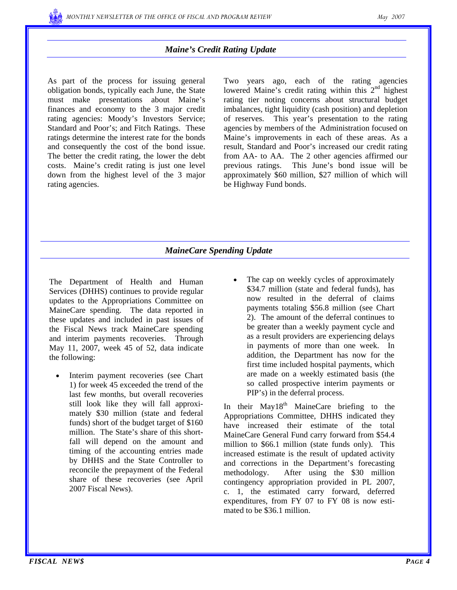

## *Maine's Credit Rating Update*

As part of the process for issuing general obligation bonds, typically each June, the State must make presentations about Maine's finances and economy to the 3 major credit rating agencies: Moody's Investors Service; Standard and Poor's; and Fitch Ratings. These ratings determine the interest rate for the bonds and consequently the cost of the bond issue. The better the credit rating, the lower the debt costs. Maine's credit rating is just one level down from the highest level of the 3 major rating agencies.

Two years ago, each of the rating agencies lowered Maine's credit rating within this  $2<sup>nd</sup>$  highest rating tier noting concerns about structural budget imbalances, tight liquidity (cash position) and depletion of reserves. This year's presentation to the rating agencies by members of the Administration focused on Maine's improvements in each of these areas. As a result, Standard and Poor's increased our credit rating from AA- to AA. The 2 other agencies affirmed our previous ratings. This June's bond issue will be approximately \$60 million, \$27 million of which will be Highway Fund bonds.

## *MaineCare Spending Update*

The Department of Health and Human Services (DHHS) continues to provide regular updates to the Appropriations Committee on MaineCare spending. The data reported in these updates and included in past issues of the Fiscal News track MaineCare spending and interim payments recoveries. Through May 11, 2007, week 45 of 52, data indicate the following:

- Interim payment recoveries (see Chart 1) for week 45 exceeded the trend of the last few months, but overall recoveries still look like they will fall approximately \$30 million (state and federal funds) short of the budget target of \$160 million. The State's share of this shortfall will depend on the amount and timing of the accounting entries made by DHHS and the State Controller to reconcile the prepayment of the Federal share of these recoveries (see April 2007 Fiscal News).
- The cap on weekly cycles of approximately \$34.7 million (state and federal funds), has now resulted in the deferral of claims payments totaling \$56.8 million (see Chart 2). The amount of the deferral continues to be greater than a weekly payment cycle and as a result providers are experiencing delays in payments of more than one week. In addition, the Department has now for the first time included hospital payments, which are made on a weekly estimated basis (the so called prospective interim payments or PIP's) in the deferral process.

In their  $May18<sup>th</sup> MaineCare briefing to the$ Appropriations Committee, DHHS indicated they have increased their estimate of the total MaineCare General Fund carry forward from \$54.4 million to \$66.1 million (state funds only). This increased estimate is the result of updated activity and corrections in the Department's forecasting methodology. After using the \$30 million contingency appropriation provided in PL 2007, c. 1, the estimated carry forward, deferred expenditures, from FY 07 to FY 08 is now estimated to be \$36.1 million.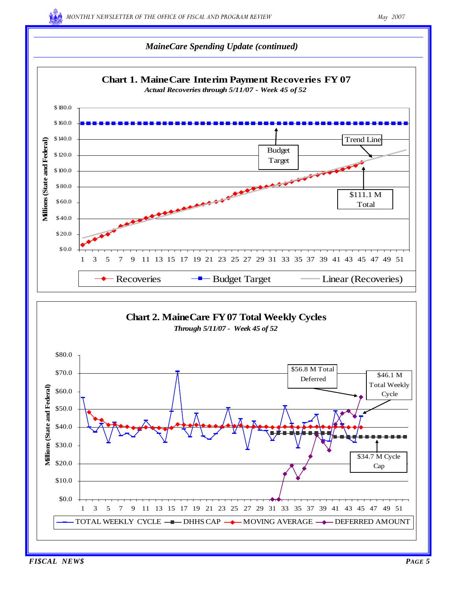## *MaineCare Spending Update (continued)*



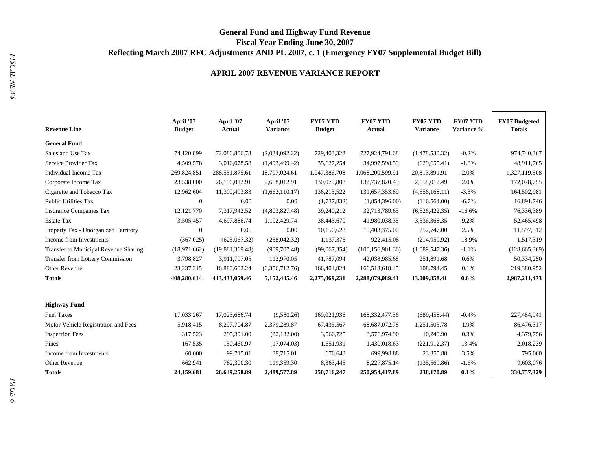# **General Fund and Highway Fund Revenue Fiscal Year Ending June 30, 2007 Reflecting March 2007 RFC Adjustments AND PL 2007, c. 1 (Emergency FY07 Supplemental Budget Bill)**

#### **APRIL 2007 REVENUE VARIANCE REPORT**

| <b>Revenue Line</b>                     | April '07<br><b>Budget</b> |                 | April '07<br><b>Variance</b> | <b>FY07 YTD</b><br><b>Budget</b> | <b>FY07 YTD</b><br><b>Actual</b> | <b>FY07 YTD</b><br><b>Variance</b> | <b>FY07 YTD</b><br>Variance % | <b>FY07 Budgeted</b><br><b>Totals</b> |
|-----------------------------------------|----------------------------|-----------------|------------------------------|----------------------------------|----------------------------------|------------------------------------|-------------------------------|---------------------------------------|
| <b>General Fund</b>                     |                            |                 |                              |                                  |                                  |                                    |                               |                                       |
| Sales and Use Tax                       | 74,120,899                 | 72,086,806.78   | (2,034,092.22)               | 729,403,322                      | 727,924,791.68                   | (1,478,530.32)                     | $-0.2%$                       | 974,740,367                           |
| Service Provider Tax                    | 4,509,578                  | 3,016,078.58    | (1,493,499.42)               | 35,627,254                       | 34,997,598.59                    | (629, 655.41)                      | $-1.8%$                       | 48,911,765                            |
| Individual Income Tax                   | 269,824,851                | 288,531,875.61  | 18,707,024.61                | 1,047,386,708                    | 1,068,200,599.91                 | 20,813,891.91                      | 2.0%                          | 1,327,119,508                         |
| Corporate Income Tax                    | 23,538,000                 | 26,196,012.91   | 2,658,012.91                 | 130,079,808                      | 132,737,820.49                   | 2,658,012.49                       | 2.0%                          | 172,078,755                           |
| Cigarette and Tobacco Tax               | 12,962,604                 | 11,300,493.83   | (1,662,110.17)               | 136,213,522                      | 131,657,353.89                   | (4,556,168,11)                     | $-3.3%$                       | 164,502,981                           |
| Public Utilities Tax                    | $\mathbf{0}$               | 0.00            | 0.00                         | (1,737,832)                      | (1,854,396.00)                   | (116, 564.00)                      | $-6.7\%$                      | 16,891,746                            |
| <b>Insurance Companies Tax</b>          | 12,121,770                 | 7,317,942.52    | (4,803,827.48)               | 39,240,212                       | 32,713,789.65                    | (6,526,422.35)                     | $-16.6%$                      | 76,336,389                            |
| Estate Tax                              | 3,505,457                  | 4,697,886.74    | 1,192,429.74                 | 38,443,670                       | 41,980,038.35                    | 3,536,368.35                       | 9.2%                          | 52,465,498                            |
| Property Tax - Unorganized Territory    | $\mathbf{0}$               | 0.00            | 0.00                         | 10,150,628                       | 10,403,375.00                    | 252,747.00                         | 2.5%                          | 11,597,312                            |
| Income from Investments                 | (367, 025)                 | (625,067.32)    | (258, 042.32)                | 1,137,375                        | 922,415.08                       | (214,959.92)                       | $-18.9%$                      | 1,517,319                             |
| Transfer to Municipal Revenue Sharing   | (18,971,662)               | (19,881,369.48) | (909, 707.48)                | (99,067,354)                     | (100, 156, 901.36)               | (1,089,547.36)                     | $-1.1%$                       | (128, 665, 369)                       |
| <b>Transfer from Lottery Commission</b> | 3,798,827                  | 3,911,797.05    | 112,970.05                   | 41,787,094                       | 42,038,985.68                    | 251,891.68                         | 0.6%                          | 50,334,250                            |
| Other Revenue                           | 23, 237, 315               | 16,880,602.24   | (6,356,712.76)               | 166,404,824                      | 166,513,618.45                   | 108,794.45                         | 0.1%                          | 219,380,952                           |
| Totals                                  | 408,280,614                | 413,433,059.46  | 5,152,445.46                 | 2,275,069,231                    | 2,288,079,089.41                 | 13,009,858.41                      | 0.6%                          | 2,987,211,473                         |
| <b>Highway Fund</b>                     |                            |                 |                              |                                  |                                  |                                    |                               |                                       |
| <b>Fuel Taxes</b>                       | 17,033,267                 | 17,023,686.74   | (9,580.26)                   | 169,021,936                      | 168, 332, 477.56                 | (689, 458, 44)                     | $-0.4%$                       | 227,484,941                           |
| Motor Vehicle Registration and Fees     | 5,918,415                  | 8,297,704.87    | 2,379,289.87                 | 67,435,567                       | 68, 687, 072. 78                 | 1,251,505.78                       | 1.9%                          | 86,476,317                            |
| <b>Inspection Fees</b>                  | 317,523                    | 295,391.00      | (22, 132.00)                 | 3,566,725                        | 3,576,974.90                     | 10,249.90                          | 0.3%                          | 4,379,756                             |
| Fines                                   | 167,535                    | 150,460.97      | (17,074.03)                  | 1,651,931                        | 1,430,018.63                     | (221, 912.37)                      | $-13.4%$                      | 2,018,239                             |
| Income from Investments                 | 60,000                     | 99,715.01       | 39,715.01                    | 676,643                          | 699,998.88                       | 23,355.88                          | 3.5%                          | 795,000                               |
| Other Revenue                           | 662,941                    | 782,300.30      | 119,359.30                   | 8,363,445                        | 8,227,875.14                     | (135, 569.86)                      | $-1.6%$                       | 9,603,076                             |
| <b>Totals</b>                           | 24,159,681                 | 26,649,258.89   | 2,489,577.89                 | 250,716,247                      | 250,954,417.89                   | 238,170.89                         | 0.1%                          | 330,757,329                           |